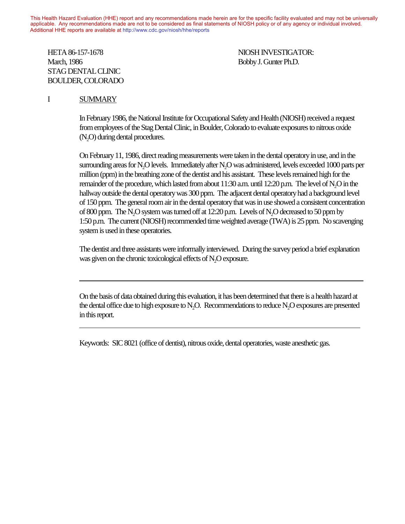This Health Hazard Evaluation (HHE) report and any recommendations made herein are for the specific facility evaluated and may not be universally applicable. Any recommendations made are not to be considered as final statements of NIOSH policy or of any agency or individual involved. Additional HHE reports are available at http://www.cdc.gov/niosh/hhe/reports Additional HHE reports are available at [http://www.cdc.gov/niosh/hhe/reports](http://www.cdc.gov/niosh/hhe)

#### HETA 86-157-1678 NIOSH INVESTIGATOR: March, 1986 **Bobby J. Gunter Ph.D.** STAG DENTAL CLINIC BOULDER, COLORADO  $T_{\text{HOM}}$  report and any recommendations made herein are for the specific facility evaluated and may not be universalide and may not be universalide and may not be universalide and may not be universalide and may not be

### I SUMMARY

 $\overline{a}$ 

 $\overline{a}$ 

In February 1986, the National Institute for Occupational Safety and Health (NIOSH) received a request from employees of the Stag Dental Clinic, in Boulder, Colorado to evaluate exposures to nitrous oxide (N<sub>2</sub>O) during dental procedures.

On February 11, 1986, direct reading measurements were taken in the dental operatory in use, and in the surrounding areas for N<sub>2</sub>O levels. Immediately after N<sub>2</sub>O was administered, levels exceeded 1000 parts per million (ppm) in the breathing zone of the dentist and his assistant. These levels remained high for the remainder of the procedure, which lasted from about 11:30 a.m. until 12:20 p.m. The level of N2O in the hallway outside the dental operatory was 300 ppm. The adjacent dental operatory had a background level of 150 ppm. The general room air in the dental operatory that was in use showed a consistent concentration of 800 ppm. The N2O system was turned off at 12:20 p.m. Levels of N2O decreased to 50 ppm by 1:50 p.m. The current (NIOSH) recommended time weighted average (TWA) is 25 ppm. No scavenging system is used in these operatories.

The dentist and three assistants were informally interviewed. During the survey period a brief explanation was given on the chronic toxicological effects of N<sub>2</sub>O exposure.

On the basis of data obtained during this evaluation, it has been determined that there is a health hazard at the dental office due to high exposure to  $N_2O$ . Recommendations to reduce  $N_2O$  exposures are presented in this report.

Keywords: SIC 8021 (office of dentist), nitrous oxide, dental operatories, waste anesthetic gas.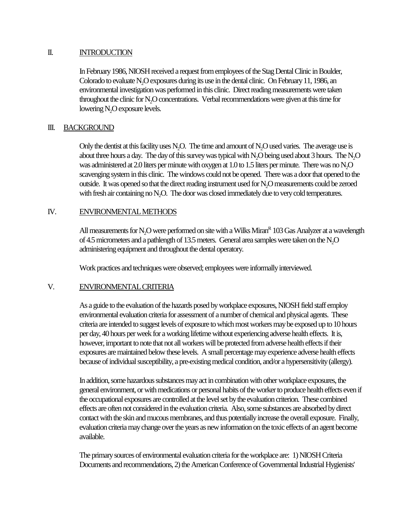### II. INTRODUCTION

In February 1986, NIOSH received a request from employees of the Stag Dental Clinic in Boulder, Colorado to evaluate N<sub>2</sub>O exposures during its use in the dental clinic. On February 11, 1986, an environmental investigation was performed in this clinic. Direct reading measurements were taken throughout the clinic for N2O concentrations. Verbal recommendations were given at this time for lowering N<sub>2</sub>O exposure levels.

### III. BACKGROUND

Only the dentist at this facility uses N<sub>2</sub>O. The time and amount of N<sub>2</sub>O used varies. The average use is about three hours a day. The day of this survey was typical with  $N_2O$  being used about 3 hours. The  $N_2O$ was administered at 2.0 liters per minute with oxygen at 1.0 to 1.5 liters per minute. There was no N<sub>2</sub>O scavenging system in this clinic. The windows could not be opened. There was a door that opened to the outside. It was opened so that the direct reading instrument used for N<sub>2</sub>O measurements could be zeroed with fresh air containing no N<sub>2</sub>O. The door was closed immediately due to very cold temperatures.

### IV. ENVIRONMENTAL METHODS

All measurements for  $\rm N_2O$  were performed on site with a Wilks Miran $^{\rm R}$  103 Gas Analyzer at a wavelength of 4.5 micrometers and a pathlength of 13.5 meters. General area samples were taken on the N<sub>2</sub>O administering equipment and throughout the dental operatory.

Work practices and techniques were observed; employees were informally interviewed.

### V. ENVIRONMENTAL CRITERIA

As a guide to the evaluation of the hazards posed by workplace exposures, NIOSH field staff employ environmental evaluation criteria for assessment of a number of chemical and physical agents. These criteria are intended to suggest levels of exposure to which most workers may be exposed up to 10 hours per day, 40 hours per week for a working lifetime without experiencing adverse health effects. It is, however, important to note that not all workers will be protected from adverse health effects if their exposures are maintained below these levels. A small percentage may experience adverse health effects because of individual susceptibility, a pre-existing medical condition, and/or a hypersensitivity (allergy).

In addition, some hazardous substances may act in combination with other workplace exposures, the general environment, or with medications or personal habits of the worker to produce health effects even if the occupational exposures are controlled at the level set by the evaluation criterion. These combined effects are often not considered in the evaluation criteria. Also, some substances are absorbed by direct contact with the skin and mucous membranes, and thus potentially increase the overall exposure. Finally, evaluation criteria may change over the years as new information on the toxic effects of an agent become available.

The primary sources of environmental evaluation criteria for the workplace are: 1) NIOSH Criteria Documents and recommendations, 2) the American Conference of Governmental Industrial Hygienists'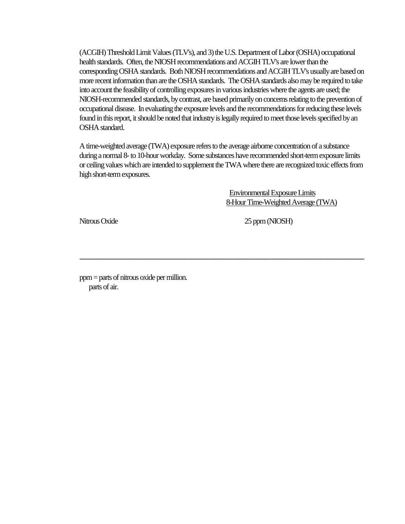(ACGIH) Threshold Limit Values (TLV's), and 3) the U.S. Department of Labor (OSHA) occupational health standards. Often, the NIOSH recommendations and ACGIH TLV's are lower than the corresponding OSHA standards. Both NIOSH recommendations and ACGIH TLV's usually are based on more recent information than are the OSHA standards. The OSHA standards also may be required to take into account the feasibility of controlling exposures in various industries where the agents are used; the NIOSH-recommended standards, by contrast, are based primarily on concerns relating to the prevention of occupational disease. In evaluating the exposure levels and the recommendations for reducing these levels found in this report, it should be noted that industry is legally required to meet those levels specified by an OSHA standard.

A time-weighted average (TWA) exposure refers to the average airborne concentration of a substance during a normal 8- to 10-hour workday. Some substances have recommended short-term exposure limits or ceiling values which are intended to supplement the TWA where there are recognized toxic effects from high short-term exposures.

------------------------------------------------------------------------------------------------------------------------------------------

 Environmental Exposure Limits 8-Hour Time-Weighted Average (TWA)

Nitrous Oxide 25 ppm (NIOSH)

ppm = parts of nitrous oxide per million. parts of air.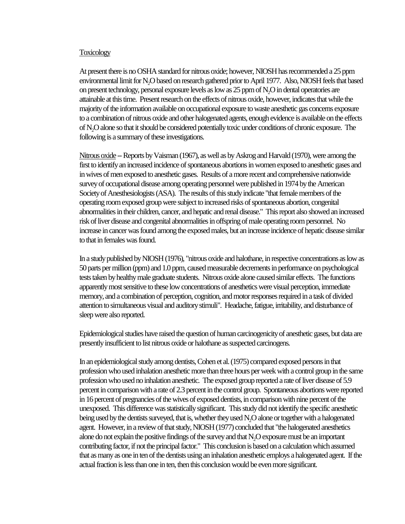#### **Toxicology**

At present there is no OSHA standard for nitrous oxide; however, NIOSH has recommended a 25 ppm environmental limit for N2O based on research gathered prior to April 1977. Also, NIOSH feels that based on present technology, personal exposure levels as low as 25 ppm of N2O in dental operatories are attainable at this time. Present research on the effects of nitrous oxide, however, indicates that while the majority of the information available on occupational exposure to waste anesthetic gas concerns exposure to a combination of nitrous oxide and other halogenated agents, enough evidence is available on the effects of N2O alone so that it should be considered potentially toxic under conditions of chronic exposure. The following is a summary of these investigations.

Nitrous oxide -- Reports by Vaisman (1967), as well as by Askrog and Harvald (1970), were among the first to identify an increased incidence of spontaneous abortions in women exposed to anesthetic gases and in wives of men exposed to anesthetic gases. Results of a more recent and comprehensive nationwide survey of occupational disease among operating personnel were published in 1974 by the American Society of Anesthesiologists (ASA). The results of this study indicate "that female members of the operating room exposed group were subject to increased risks of spontaneous abortion, congenital abnormalities in their children, cancer, and hepatic and renal disease." This report also showed an increased risk of liver disease and congenital abnormalities in offspring of male operating room personnel. No increase in cancer was found among the exposed males, but an increase incidence of hepatic disease similar to that in females was found.

In a study published by NIOSH (1976), "nitrous oxide and halothane, in respective concentrations as low as 50 parts per million (ppm) and 1.0 ppm, caused measurable decrements in performance on psychological tests taken by healthy male graduate students. Nitrous oxide alone caused similar effects. The functions apparently most sensitive to these low concentrations of anesthetics were visual perception, immediate memory, and a combination of perception, cognition, and motor responses required in a task of divided attention to simultaneous visual and auditory stimuli". Headache, fatigue, irritability, and disturbance of sleep were also reported.

Epidemiological studies have raised the question of human carcinogenicity of anesthetic gases, but data are presently insufficient to list nitrous oxide or halothane as suspected carcinogens.

In an epidemiological study among dentists, Cohen et al. (1975) compared exposed persons in that profession who used inhalation anesthetic more than three hours per week with a control group in the same profession who used no inhalation anesthetic. The exposed group reported a rate of liver disease of 5.9 percent in comparison with a rate of 2.3 percent in the control group. Spontaneous abortions were reported in 16 percent of pregnancies of the wives of exposed dentists, in comparison with nine percent of the unexposed. This difference was statistically significant. This study did not identify the specific anesthetic being used by the dentists surveyed, that is, whether they used N<sub>2</sub>O alone or together with a halogenated agent. However, in a review of that study, NIOSH (1977) concluded that "the halogenated anesthetics alone do not explain the positive findings of the survey and that N<sub>2</sub>O exposure must be an important contributing factor, if not the principal factor." This conclusion is based on a calculation which assumed that as many as one in ten of the dentists using an inhalation anesthetic employs a halogenated agent. If the actual fraction is less than one in ten, then this conclusion would be even more significant.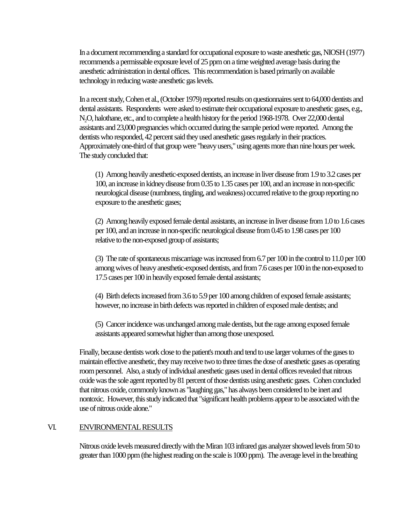In a document recommending a standard for occupational exposure to waste anesthetic gas, NIOSH (1977) recommends a permissable exposure level of 25 ppm on a time weighted average basis during the anesthetic administration in dental offices. This recommendation is based primarily on available technology in reducing waste anesthetic gas levels.

In a recent study, Cohen et al., (October 1979) reported results on questionnaires sent to 64,000 dentists and dental assistants. Respondents were asked to estimate their occupational exposure to anesthetic gases, e.g., N2O, halothane, etc., and to complete a health history for the period 1968-1978. Over 22,000 dental assistants and 23,000 pregnancies which occurred during the sample period were reported. Among the dentists who responded, 42 percent said they used anesthetic gases regularly in their practices. Approximately one-third of that group were "heavy users," using agents more than nine hours per week. The study concluded that:

(1) Among heavily anesthetic-exposed dentists, an increase in liver disease from 1.9 to 3.2 cases per 100, an increase in kidney disease from 0.35 to 1.35 cases per 100, and an increase in non-specific neurological disease (numbness, tingling, and weakness) occurred relative to the group reporting no exposure to the anesthetic gases;

(2) Among heavily exposed female dental assistants, an increase in liver disease from 1.0 to 1.6 cases per 100, and an increase in non-specific neurological disease from 0.45 to 1.98 cases per 100 relative to the non-exposed group of assistants;

(3) The rate of spontaneous miscarriage was increased from 6.7 per 100 in the control to 11.0 per 100 among wives of heavy anesthetic-exposed dentists, and from 7.6 cases per 100 in the non-exposed to 17.5 cases per 100 in heavily exposed female dental assistants;

(4) Birth defects increased from 3.6 to 5.9 per 100 among children of exposed female assistants; however, no increase in birth defects was reported in children of exposed male dentists; and

(5) Cancer incidence was unchanged among male dentists, but the rage among exposed female assistants appeared somewhat higher than among those unexposed.

Finally, because dentists work close to the patient's mouth and tend to use larger volumes of the gases to maintain effective anesthetic, they may receive two to three times the dose of anesthetic gases as operating room personnel. Also, a study of individual anesthetic gases used in dental offices revealed that nitrous oxide was the sole agent reported by 81 percent of those dentists using anesthetic gases. Cohen concluded that nitrous oxide, commonly known as "laughing gas," has always been considered to be inert and nontoxic. However, this study indicated that "significant health problems appear to be associated with the use of nitrous oxide alone."

### VI. ENVIRONMENTAL RESULTS

Nitrous oxide levels measured directly with the Miran 103 infrared gas analyzer showed levels from 50 to greater than 1000 ppm (the highest reading on the scale is 1000 ppm). The average level in the breathing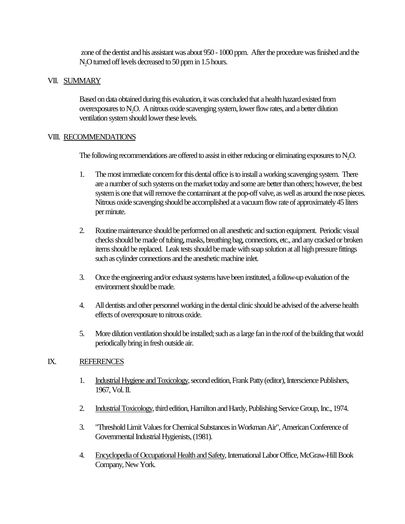zone of the dentist and his assistant was about 950 - 1000 ppm. After the procedure was finished and the N<sub>2</sub>O turned off levels decreased to 50 ppm in 1.5 hours.

# VII. SUMMARY

Based on data obtained during this evaluation, it was concluded that a health hazard existed from overexposures to N2O. A nitrous oxide scavenging system, lower flow rates, and a better dilution ventilation system should lower these levels.

# VIII. RECOMMENDATIONS

The following recommendations are offered to assist in either reducing or eliminating exposures to  $N<sub>2</sub>O$ .

- 1. The most immediate concern for this dental office is to install a working scavenging system. There are a number of such systems on the market today and some are better than others; however, the best system is one that will remove the contaminant at the pop-off valve, as well as around the nose pieces. Nitrous oxide scavenging should be accomplished at a vacuum flow rate of approximately 45 liters per minute.
- 2. Routine maintenance should be performed on all anesthetic and suction equipment. Periodic visual checks should be made of tubing, masks, breathing bag, connections, etc., and any cracked or broken items should be replaced. Leak tests should be made with soap solution at all high pressure fittings such as cylinder connections and the anesthetic machine inlet.
- 3. Once the engineering and/or exhaust systems have been instituted, a follow-up evaluation of the environment should be made.
- 4. All dentists and other personnel working in the dental clinic should be advised of the adverse health effects of overexposure to nitrous oxide.
- 5. More dilution ventilation should be installed; such as a large fan in the roof of the building that would periodically bring in fresh outside air.

# IX. REFERENCES

- 1. Industrial Hygiene and Toxicology, second edition, Frank Patty (editor), Interscience Publishers, 1967, Vol. II.
- 2. Industrial Toxicology, third edition, Hamilton and Hardy, Publishing Service Group, Inc., 1974.
- 3. "Threshold Limit Values for Chemical Substances in Workman Air", American Conference of Governmental Industrial Hygienists, (1981).
- 4. Encyclopedia of Occupational Health and Safety, International Labor Office, McGraw-Hill Book Company, New York.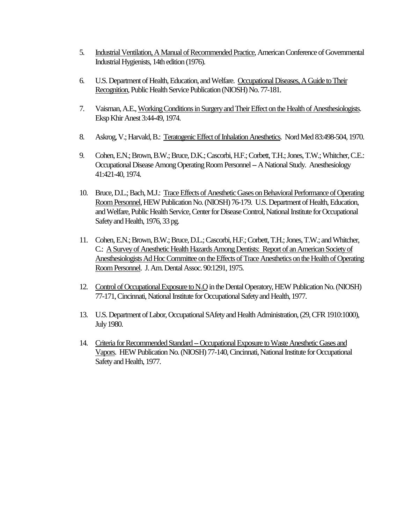- 5. Industrial Ventilation, A Manual of Recommended Practice, American Conference of Governmental Industrial Hygienists, 14th edition (1976).
- 6. U.S. Department of Health, Education, and Welfare. Occupational Diseases, A Guide to Their Recognition, Public Health Service Publication (NIOSH) No. 77-181.
- 7. Vaisman, A.E., Working Conditions in Surgery and Their Effect on the Health of Anesthesiologists. Eksp Khir Anest 3:44-49, 1974.
- 8. Askrog, V.; Harvald, B.: Teratogenic Effect of Inhalation Anesthetics. Nord Med 83:498-504, 1970.
- 9. Cohen, E.N.; Brown, B.W.; Bruce, D.K.; Cascorbi, H.F.; Corbett, T.H.; Jones, T.W.; Whitcher, C.E.: Occupational Disease Among Operating Room Personnel -- A National Study. Anesthesiology 41:421-40, 1974.
- 10. Bruce, D.L.; Bach, M.J.: Trace Effects of Anesthetic Gases on Behavioral Performance of Operating Room Personnel, HEW Publication No. (NIOSH) 76-179. U.S. Department of Health, Education, and Welfare, Public Health Service, Center for Disease Control, National Institute for Occupational Safety and Health, 1976, 33 pg.
- 11. Cohen, E.N.; Brown, B.W.; Bruce, D.L.; Cascorbi, H.F.; Corbett, T.H.; Jones, T.W.; and Whitcher, C.: A Survey of Anesthetic Health Hazards Among Dentists: Report of an American Society of Anesthesiologists Ad Hoc Committee on the Effects of Trace Anesthetics on the Health of Operating Room Personnel. J. Am. Dental Assoc. 90:1291, 1975.
- 12. Control of Occupational Exposure to N<sub>2</sub>O in the Dental Operatory, HEW Publication No. (NIOSH) 77-171, Cincinnati, National Institute for Occupational Safety and Health, 1977.
- 13. U.S. Department of Labor, Occupational SAfety and Health Administration, (29, CFR 1910:1000), July 1980.
- 14. Criteria for Recommended Standard -- Occupational Exposure to Waste Anesthetic Gases and Vapors. HEW Publication No. (NIOSH) 77-140, Cincinnati, National Institute for Occupational Safety and Health, 1977.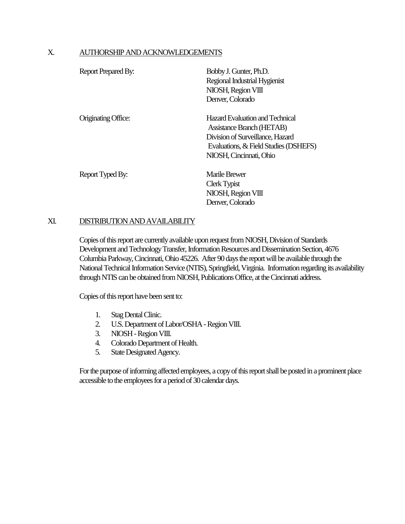### X. AUTHORSHIP AND ACKNOWLEDGEMENTS

| Report Prepared By: | Bobby J. Gunter, Ph.D.<br>Regional Industrial Hygienist<br>NIOSH, Region VIII<br>Denver, Colorado                                                                    |
|---------------------|----------------------------------------------------------------------------------------------------------------------------------------------------------------------|
| Originating Office: | Hazard Evaluation and Technical<br>Assistance Branch (HETAB)<br>Division of Surveillance, Hazard<br>Evaluations, & Field Studies (DSHEFS)<br>NIOSH, Cincinnati, Ohio |
| Report Typed By:    | Marile Brewer<br>Clerk Typist<br>NIOSH, Region VIII<br>Denver, Colorado                                                                                              |

### XI. DISTRIBUTION AND AVAILABILITY

Copies of this report are currently available upon request from NIOSH, Division of Standards Development and Technology Transfer, Information Resources and Dissemination Section, 4676 Columbia Parkway, Cincinnati, Ohio 45226. After 90 days the report will be available through the National Technical Information Service (NTIS), Springfield, Virginia. Information regarding its availability through NTIS can be obtained from NIOSH, Publications Office, at the Cincinnati address.

Copies of this report have been sent to:

- 1. Stag Dental Clinic.
- 2. U.S. Department of Labor/OSHA Region VIII.
- 3. NIOSH Region VIII.
- 4. Colorado Department of Health.
- 5. State Designated Agency.

For the purpose of informing affected employees, a copy of this report shall be posted in a prominent place accessible to the employees for a period of 30 calendar days.